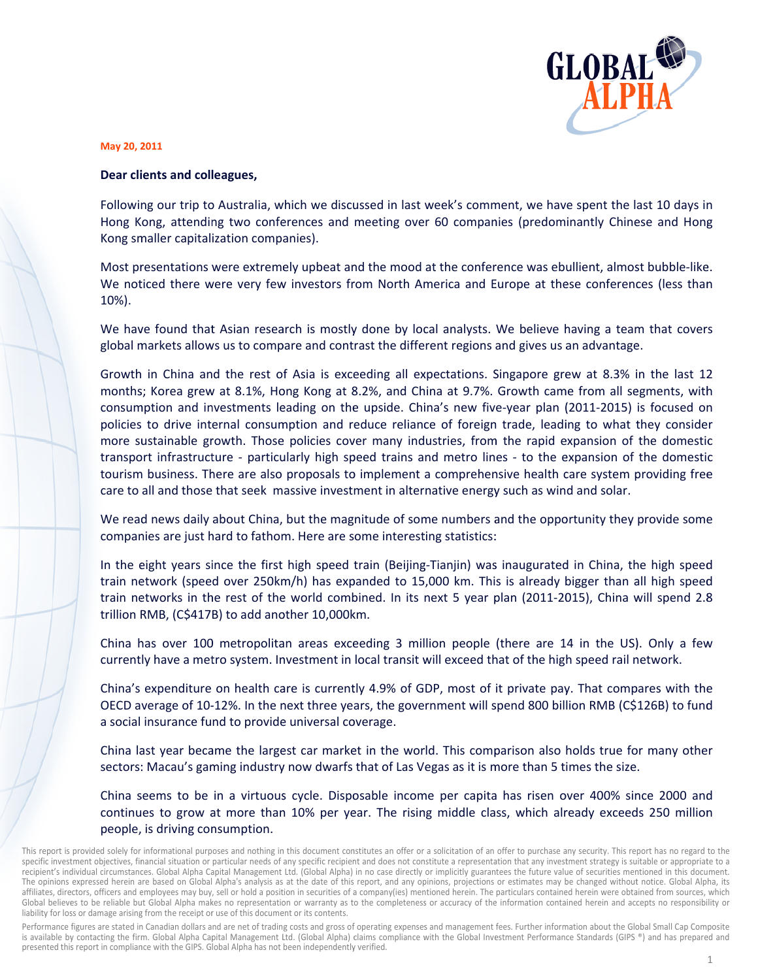

## May 20, 2011

## Dear clients and colleagues,

Following our trip to Australia, which we discussed in last week's comment, we have spent the last 10 days in Hong Kong, attending two conferences and meeting over 60 companies (predominantly Chinese and Hong Kong smaller capitalization companies).

Most presentations were extremely upbeat and the mood at the conference was ebullient, almost bubble-like. We noticed there were very few investors from North America and Europe at these conferences (less than 10%).

We have found that Asian research is mostly done by local analysts. We believe having a team that covers global markets allows us to compare and contrast the different regions and gives us an advantage.

Growth in China and the rest of Asia is exceeding all expectations. Singapore grew at 8.3% in the last 12 months; Korea grew at 8.1%, Hong Kong at 8.2%, and China at 9.7%. Growth came from all segments, with consumption and investments leading on the upside. China's new five-year plan (2011-2015) is focused on policies to drive internal consumption and reduce reliance of foreign trade, leading to what they consider more sustainable growth. Those policies cover many industries, from the rapid expansion of the domestic transport infrastructure - particularly high speed trains and metro lines - to the expansion of the domestic tourism business. There are also proposals to implement a comprehensive health care system providing free care to all and those that seek massive investment in alternative energy such as wind and solar.

We read news daily about China, but the magnitude of some numbers and the opportunity they provide some companies are just hard to fathom. Here are some interesting statistics:

In the eight years since the first high speed train (Beijing-Tianjin) was inaugurated in China, the high speed train network (speed over 250km/h) has expanded to 15,000 km. This is already bigger than all high speed train networks in the rest of the world combined. In its next 5 year plan (2011-2015), China will spend 2.8 trillion RMB, (C\$417B) to add another 10,000km.

China has over 100 metropolitan areas exceeding 3 million people (there are 14 in the US). Only a few currently have a metro system. Investment in local transit will exceed that of the high speed rail network.

China's expenditure on health care is currently 4.9% of GDP, most of it private pay. That compares with the OECD average of 10-12%. In the next three years, the government will spend 800 billion RMB (C\$126B) to fund a social insurance fund to provide universal coverage.

China last year became the largest car market in the world. This comparison also holds true for many other sectors: Macau's gaming industry now dwarfs that of Las Vegas as it is more than 5 times the size.

China seems to be in a virtuous cycle. Disposable income per capita has risen over 400% since 2000 and continues to grow at more than 10% per year. The rising middle class, which already exceeds 250 million people, is driving consumption.

Performance figures are stated in Canadian dollars and are net of trading costs and gross of operating expenses and management fees. Further information about the Global Small Cap Composite is available by contacting the firm. Global Alpha Capital Management Ltd. (Global Alpha) claims compliance with the Global Investment Performance Standards (GIPS ®) and has prepared and presented this report in compliance with the GIPS. Global Alpha has not been independently verified.

This report is provided solely for informational purposes and nothing in this document constitutes an offer or a solicitation of an offer to purchase any security. This report has no regard to the specific investment objectives, financial situation or particular needs of any specific recipient and does not constitute a representation that any investment strategy is suitable or appropriate to a recipient's individual circumstances. Global Alpha Capital Management Ltd. (Global Alpha) in no case directly or implicitly guarantees the future value of securities mentioned in this document. The opinions expressed herein are based on Global Alpha's analysis as at the date of this report, and any opinions, projections or estimates may be changed without notice. Global Alpha, its affiliates, directors, officers and employees may buy, sell or hold a position in securities of a company(ies) mentioned herein. The particulars contained herein were obtained from sources, which Global believes to be reliable but Global Alpha makes no representation or warranty as to the completeness or accuracy of the information contained herein and accepts no responsibility or liability for loss or damage arising from the receipt or use of this document or its contents.